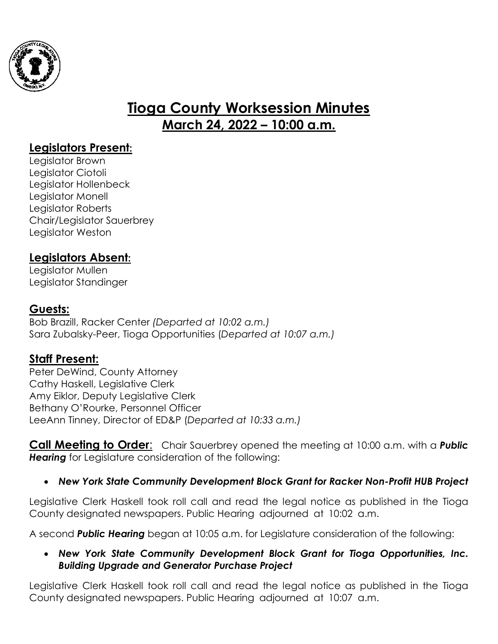

# **Tioga County Worksession Minutes March 24, 2022 – 10:00 a.m.**

### **Legislators Present:**

Legislator Brown Legislator Ciotoli Legislator Hollenbeck Legislator Monell Legislator Roberts Chair/Legislator Sauerbrey Legislator Weston

### **Legislators Absent:**

Legislator Mullen Legislator Standinger

#### **Guests:**

Bob Brazill, Racker Center *(Departed at 10:02 a.m.)* Sara Zubalsky-Peer, Tioga Opportunities (*Departed at 10:07 a.m.)*

### **Staff Present:**

Peter DeWind, County Attorney Cathy Haskell, Legislative Clerk Amy Eiklor, Deputy Legislative Clerk Bethany O'Rourke, Personnel Officer LeeAnn Tinney, Director of ED&P (*Departed at 10:33 a.m.)*

**Call Meeting to Order**: Chair Sauerbrey opened the meeting at 10:00 a.m. with a *Public Hearing* for Legislature consideration of the following:

#### *New York State Community Development Block Grant for Racker Non-Profit HUB Project*

Legislative Clerk Haskell took roll call and read the legal notice as published in the Tioga County designated newspapers. Public Hearing adjourned at 10:02 a.m.

A second *Public Hearing* began at 10:05 a.m. for Legislature consideration of the following:

#### *New York State Community Development Block Grant for Tioga Opportunities, Inc. Building Upgrade and Generator Purchase Project*

Legislative Clerk Haskell took roll call and read the legal notice as published in the Tioga County designated newspapers. Public Hearing adjourned at 10:07 a.m.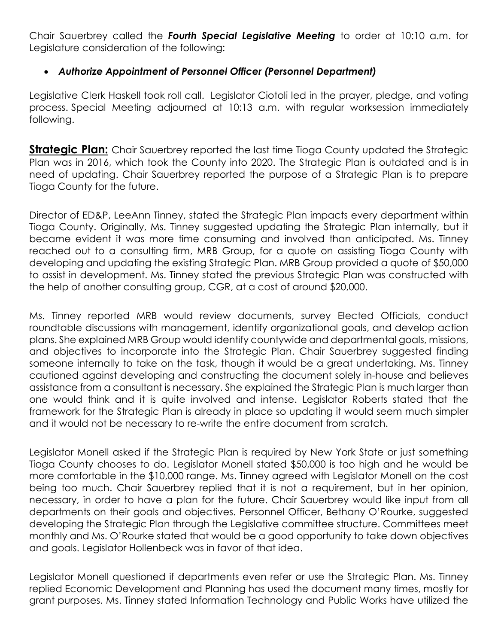Chair Sauerbrey called the *Fourth Special Legislative Meeting* to order at 10:10 a.m. for Legislature consideration of the following:

#### *Authorize Appointment of Personnel Officer (Personnel Department)*

Legislative Clerk Haskell took roll call. Legislator Ciotoli led in the prayer, pledge, and voting process. Special Meeting adjourned at 10:13 a.m. with regular worksession immediately following.

**Strategic Plan:** Chair Sauerbrey reported the last time Tioga County updated the Strategic Plan was in 2016, which took the County into 2020. The Strategic Plan is outdated and is in need of updating. Chair Sauerbrey reported the purpose of a Strategic Plan is to prepare Tioga County for the future.

Director of ED&P, LeeAnn Tinney, stated the Strategic Plan impacts every department within Tioga County. Originally, Ms. Tinney suggested updating the Strategic Plan internally, but it became evident it was more time consuming and involved than anticipated. Ms. Tinney reached out to a consulting firm, MRB Group, for a quote on assisting Tioga County with developing and updating the existing Strategic Plan. MRB Group provided a quote of \$50,000 to assist in development. Ms. Tinney stated the previous Strategic Plan was constructed with the help of another consulting group, CGR, at a cost of around \$20,000.

Ms. Tinney reported MRB would review documents, survey Elected Officials, conduct roundtable discussions with management, identify organizational goals, and develop action plans. She explained MRB Group would identify countywide and departmental goals, missions, and objectives to incorporate into the Strategic Plan. Chair Sauerbrey suggested finding someone internally to take on the task, though it would be a great undertaking. Ms. Tinney cautioned against developing and constructing the document solely in-house and believes assistance from a consultant is necessary. She explained the Strategic Plan is much larger than one would think and it is quite involved and intense. Legislator Roberts stated that the framework for the Strategic Plan is already in place so updating it would seem much simpler and it would not be necessary to re-write the entire document from scratch.

Legislator Monell asked if the Strategic Plan is required by New York State or just something Tioga County chooses to do. Legislator Monell stated \$50,000 is too high and he would be more comfortable in the \$10,000 range. Ms. Tinney agreed with Legislator Monell on the cost being too much. Chair Sauerbrey replied that it is not a requirement, but in her opinion, necessary, in order to have a plan for the future. Chair Sauerbrey would like input from all departments on their goals and objectives. Personnel Officer, Bethany O'Rourke, suggested developing the Strategic Plan through the Legislative committee structure. Committees meet monthly and Ms. O'Rourke stated that would be a good opportunity to take down objectives and goals. Legislator Hollenbeck was in favor of that idea.

Legislator Monell questioned if departments even refer or use the Strategic Plan. Ms. Tinney replied Economic Development and Planning has used the document many times, mostly for grant purposes. Ms. Tinney stated Information Technology and Public Works have utilized the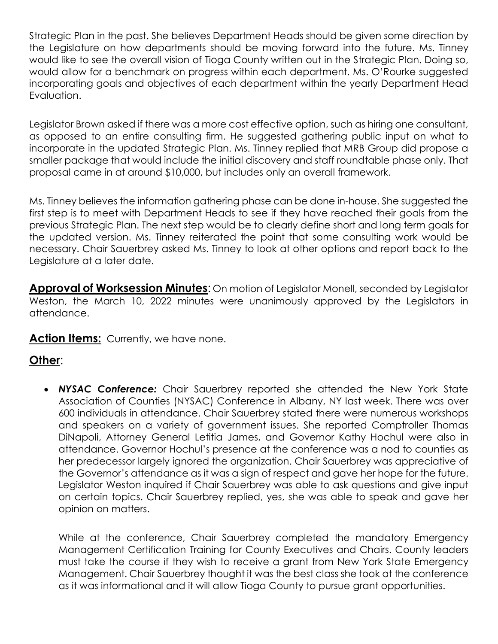Strategic Plan in the past. She believes Department Heads should be given some direction by the Legislature on how departments should be moving forward into the future. Ms. Tinney would like to see the overall vision of Tioga County written out in the Strategic Plan. Doing so, would allow for a benchmark on progress within each department. Ms. O'Rourke suggested incorporating goals and objectives of each department within the yearly Department Head Evaluation.

Legislator Brown asked if there was a more cost effective option, such as hiring one consultant, as opposed to an entire consulting firm. He suggested gathering public input on what to incorporate in the updated Strategic Plan. Ms. Tinney replied that MRB Group did propose a smaller package that would include the initial discovery and staff roundtable phase only. That proposal came in at around \$10,000, but includes only an overall framework.

Ms. Tinney believes the information gathering phase can be done in-house. She suggested the first step is to meet with Department Heads to see if they have reached their goals from the previous Strategic Plan. The next step would be to clearly define short and long term goals for the updated version. Ms. Tinney reiterated the point that some consulting work would be necessary. Chair Sauerbrey asked Ms. Tinney to look at other options and report back to the Legislature at a later date.

**Approval of Worksession Minutes**: On motion of Legislator Monell, seconded by Legislator Weston, the March 10, 2022 minutes were unanimously approved by the Legislators in attendance.

Action Items: Currently, we have none.

## **Other**:

 *NYSAC Conference:* Chair Sauerbrey reported she attended the New York State Association of Counties (NYSAC) Conference in Albany, NY last week. There was over 600 individuals in attendance. Chair Sauerbrey stated there were numerous workshops and speakers on a variety of government issues. She reported Comptroller Thomas DiNapoli, Attorney General Letitia James, and Governor Kathy Hochul were also in attendance. Governor Hochul's presence at the conference was a nod to counties as her predecessor largely ignored the organization. Chair Sauerbrey was appreciative of the Governor's attendance as it was a sign of respect and gave her hope for the future. Legislator Weston inquired if Chair Sauerbrey was able to ask questions and give input on certain topics. Chair Sauerbrey replied, yes, she was able to speak and gave her opinion on matters.

While at the conference, Chair Sauerbrey completed the mandatory Emergency Management Certification Training for County Executives and Chairs. County leaders must take the course if they wish to receive a grant from New York State Emergency Management. Chair Sauerbrey thought it was the best class she took at the conference as it was informational and it will allow Tioga County to pursue grant opportunities.